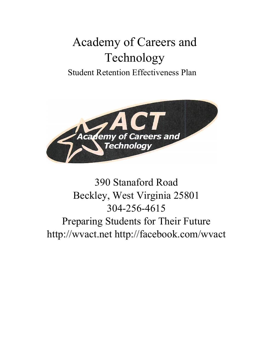# Academy of Careers and Technology

### Student Retention Effectiveness Plan



## 390 Stanaford Road Beckley, West Virginia 25801 304-256-4615 Preparing Students for Their Future http://wvact.net http://facebook.com/wvact